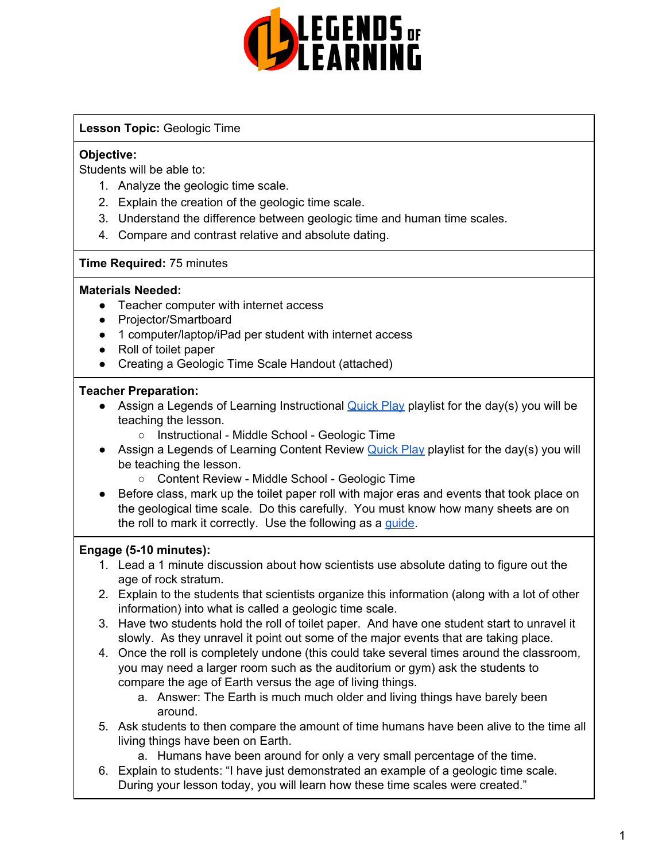

## **Lesson Topic:** Geologic Time

## **Objective:**

Students will be able to:

- 1. Analyze the geologic time scale.
- 2. Explain the creation of the geologic time scale.
- 3. Understand the difference between geologic time and human time scales.
- 4. Compare and contrast relative and absolute dating.

## **Time Required:** 75 minutes

## **Materials Needed:**

- Teacher computer with internet access
- Projector/Smartboard
- 1 computer/laptop/iPad per student with internet access
- Roll of toilet paper
- Creating a Geologic Time Scale Handout (attached)

## **Teacher Preparation:**

- Assign a Legends of Learning Instructional **[Quick](https://intercom.help/legends-of-learning/en/articles/2701866-assigning-a-quick-play-playlist) Play playlist for the day(s)** you will be teaching the lesson.
	- Instructional Middle School Geologic Time
- Assign a Legends of Learning Content Review [Quick](https://intercom.help/legends-of-learning/en/articles/2701866-assigning-a-quick-play-playlist) Play playlist for the day(s) you will be teaching the lesson.
	- Content Review Middle School Geologic Time
- Before class, mark up the toilet paper roll with major eras and events that took place on the geological time scale. Do this carefully. You must know how many sheets are on the roll to mark it correctly. Use the following as a [guide](https://docs.google.com/viewer?url=https%3A%2F%2Fd32ogoqmya1dw8.cloudfront.net%2Ffiles%2Fquantskills%2Factivities%2Ftoilet_paper.xls).

## **Engage (5-10 minutes):**

- 1. Lead a 1 minute discussion about how scientists use absolute dating to figure out the age of rock stratum.
- 2. Explain to the students that scientists organize this information (along with a lot of other information) into what is called a geologic time scale.
- 3. Have two students hold the roll of toilet paper. And have one student start to unravel it slowly. As they unravel it point out some of the major events that are taking place.
- 4. Once the roll is completely undone (this could take several times around the classroom, you may need a larger room such as the auditorium or gym) ask the students to compare the age of Earth versus the age of living things.
	- a. Answer: The Earth is much much older and living things have barely been around.
- 5. Ask students to then compare the amount of time humans have been alive to the time all living things have been on Earth.
	- a. Humans have been around for only a very small percentage of the time.
- 6. Explain to students: "I have just demonstrated an example of a geologic time scale. During your lesson today, you will learn how these time scales were created."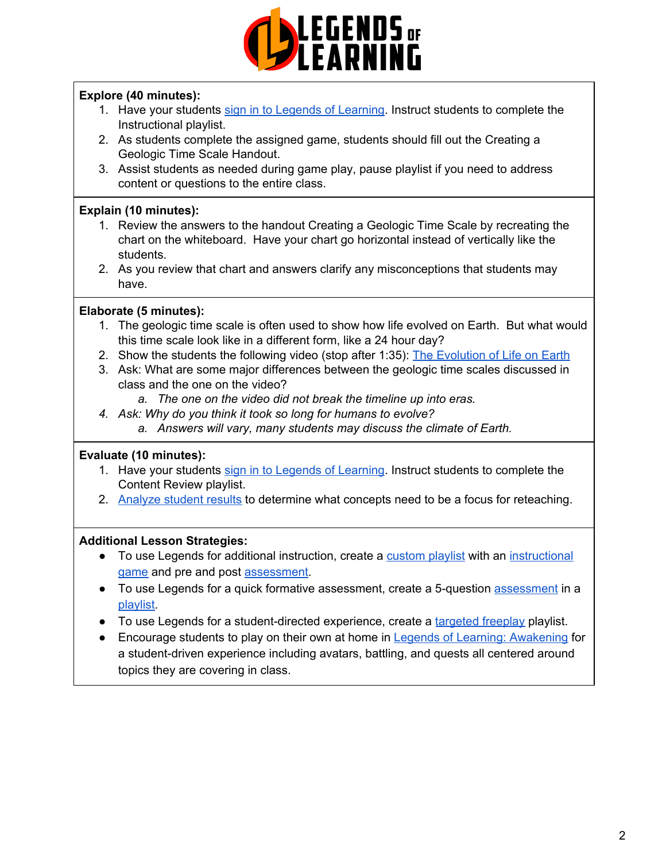

## **Explore (40 minutes):**

- 1. Have your students sign in to Legends of [Learning.](https://intercom.help/legends-of-learning/en/articles/2154920-students-joining-a-playlist) Instruct students to complete the Instructional playlist.
- 2. As students complete the assigned game, students should fill out the Creating a Geologic Time Scale Handout.
- 3. Assist students as needed during game play, pause playlist if you need to address content or questions to the entire class.

# **Explain (10 minutes):**

- 1. Review the answers to the handout Creating a Geologic Time Scale by recreating the chart on the whiteboard. Have your chart go horizontal instead of vertically like the students.
- 2. As you review that chart and answers clarify any misconceptions that students may have.

# **Elaborate (5 minutes):**

- 1. The geologic time scale is often used to show how life evolved on Earth. But what would this time scale look like in a different form, like a 24 hour day?
- 2. Show the students the following video (stop after 1:35): The [Evolution](https://www.youtube.com/watch?v=H2_6cqa2cP4) of Life on Earth
- 3. Ask: What are some major differences between the geologic time scales discussed in class and the one on the video?
	- *a. The one on the video did not break the timeline up into eras.*
- *4. Ask: Why do you think it took so long for humans to evolve?*
	- *a. Answers will vary, many students may discuss the climate of Earth.*

## **Evaluate (10 minutes):**

- 1. Have your students sign in to Legends of [Learning.](https://intercom.help/legends-of-learning/en/articles/2154920-students-joining-a-playlist) Instruct students to complete the Content Review playlist.
- 2. [Analyze](https://intercom.help/legends-of-learning/en/articles/2154918-tracking-student-progress-and-performance) student results to determine what concepts need to be a focus for reteaching.

## **Additional Lesson Strategies:**

- To use Legends for additional instruction, create a [custom](https://intercom.help/legends-of-learning/en/articles/2154910-creating-a-playlist) playlist with an [instructional](https://intercom.help/legends-of-learning/en/articles/3505828-types-of-games) [game](https://intercom.help/legends-of-learning/en/articles/3505828-types-of-games) and pre and post [assessment.](https://intercom.help/legends-of-learning/en/articles/2154913-adding-assessments-to-a-playlist)
- To use Legends for a quick formative [assessment](https://intercom.help/legends-of-learning/en/articles/2154913-adding-assessments-to-a-playlist), create a 5-question assessment in a [playlist](https://intercom.help/legends-of-learning/en/articles/2154910-creating-a-playlist).
- To use Legends for a student-directed experience, create a [targeted](https://intercom.help/legends-of-learning/en/articles/3340814-targeted-freeplay) freeplay playlist.
- Encourage students to play on their own at home in Legends of Learning: [Awakening](https://intercom.help/legends-of-learning/en/articles/2425490-legends-of-learning-awakening) for a student-driven experience including avatars, battling, and quests all centered around topics they are covering in class.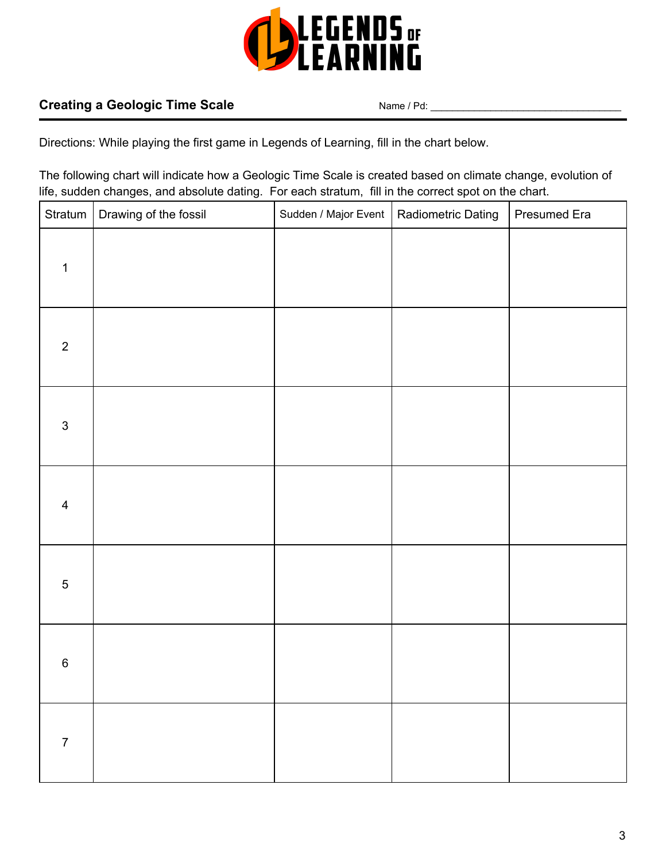

# **Creating a Geologic Time Scale** Name / Pd:

Directions: While playing the first game in Legends of Learning, fill in the chart below.

The following chart will indicate how a Geologic Time Scale is created based on climate change, evolution of life, sudden changes, and absolute dating. For each stratum, fill in the correct spot on the chart.

| Stratum                   | Drawing of the fossil | Sudden / Major Event | Radiometric Dating | Presumed Era |
|---------------------------|-----------------------|----------------------|--------------------|--------------|
| $\mathbf 1$               |                       |                      |                    |              |
| $\overline{2}$            |                       |                      |                    |              |
| $\ensuremath{\mathsf{3}}$ |                       |                      |                    |              |
| $\overline{\mathbf{4}}$   |                       |                      |                    |              |
| $\sqrt{5}$                |                       |                      |                    |              |
| $\,6$                     |                       |                      |                    |              |
| $\overline{7}$            |                       |                      |                    |              |